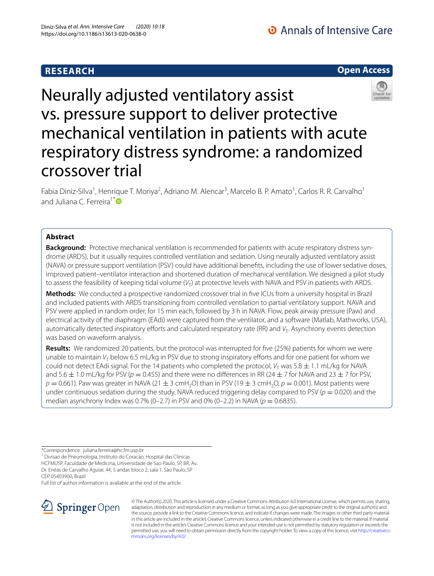## **RESEARCH**





Neurally adjusted ventilatory assist vs. pressure support to deliver protective mechanical ventilation in patients with acute respiratory distress syndrome: a randomized crossover trial

Fabia Diniz-Silva<sup>1</sup>, Henrique T. Moriya<sup>2</sup>, Adriano M. Alencar<sup>3</sup>, Marcelo B. P. Amato<sup>1</sup>, Carlos R. R. Carvalho<sup>1</sup> and Juliana C. Ferreira<sup>1[\\*](http://orcid.org/0000-0001-6548-1384)</sup>

## **Abstract**

Background: Protective mechanical ventilation is recommended for patients with acute respiratory distress syndrome (ARDS), but it usually requires controlled ventilation and sedation. Using neurally adjusted ventilatory assist (NAVA) or pressure support ventilation (PSV) could have additional benefts, including the use of lower sedative doses, improved patient–ventilator interaction and shortened duration of mechanical ventilation. We designed a pilot study to assess the feasibility of keeping tidal volume (V<sub>T</sub>) at protective levels with NAVA and PSV in patients with ARDS.

**Methods:** We conducted a prospective randomized crossover trial in fve ICUs from a university hospital in Brazil and included patients with ARDS transitioning from controlled ventilation to partial ventilatory support. NAVA and PSV were applied in random order, for 15 min each, followed by 3 h in NAVA. Flow, peak airway pressure (Paw) and electrical activity of the diaphragm (EAdi) were captured from the ventilator, and a software (Matlab, Mathworks, USA), automatically detected inspiratory efforts and calculated respiratory rate (RR) and *V*<sub>T</sub>. Asynchrony events detection was based on waveform analysis.

**Results:** We randomized 20 patients, but the protocol was interrupted for five (25%) patients for whom we were unable to maintain *V<sub>T</sub>* below 6.5 mL/kg in PSV due to strong inspiratory efforts and for one patient for whom we could not detect EAdi signal. For the 14 patients who completed the protocol,  $V<sub>T</sub>$  was 5.8  $\pm$  1.1 mL/kg for NAVA and 5.6  $\pm$  1.0 mL/kg for PSV ( $p = 0.455$ ) and there were no differences in RR (24  $\pm$  7 for NAVA and 23  $\pm$  7 for PSV,  $p = 0.661$ ). Paw was greater in NAVA (21  $\pm$  3 cmH<sub>2</sub>O) than in PSV (19  $\pm$  3 cmH<sub>2</sub>O,  $p = 0.001$ ). Most patients were under continuous sedation during the study. NAVA reduced triggering delay compared to PSV ( $p = 0.020$ ) and the median asynchrony Index was 0.7% (0–2.7) in PSV and 0% (0–2.2) in NAVA ( $p = 0.6835$ ).

1 Divisao de Pneumologia, Instituto do Coracao, Hospital das Clinicas HCFMUSP, Faculdade de Medicina, Universidade de Sao Paulo, SP, BR, Av. Dr. Enéas de Carvalho Aguiar, 44, 5 andar, bloco 2, sala 1, São Paulo, SP CEP 05403900, Brazil

Full list of author information is available at the end of the article



© The Author(s) 2020. This article is licensed under a Creative Commons Attribution 4.0 International License, which permits use, sharing, adaptation, distribution and reproduction in any medium or format, as long as you give appropriate credit to the original author(s) and the source, provide a link to the Creative Commons licence, and indicate if changes were made. The images or other third party material in this article are included in the article's Creative Commons licence, unless indicated otherwise in a credit line to the material. If material is not included in the article's Creative Commons licence and your intended use is not permitted by statutory regulation or exceeds the permitted use, you will need to obtain permission directly from the copyright holder. To view a copy of this licence, visit [http://creativeco](http://creativecommons.org/licenses/by/4.0/) [mmons.org/licenses/by/4.0/.](http://creativecommons.org/licenses/by/4.0/)

<sup>\*</sup>Correspondence: juliana.ferreira@hc.fm.usp.br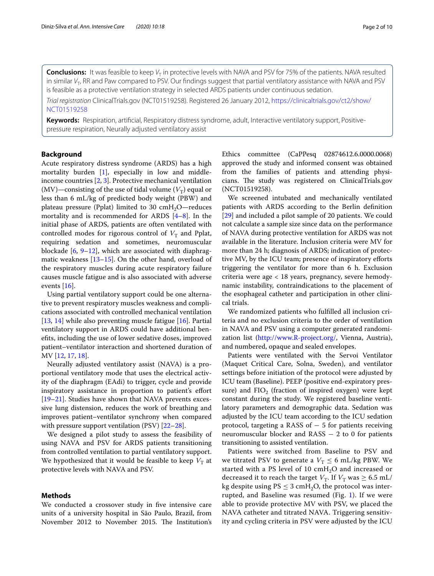**Conclusions:** It was feasible to keep  $V<sub>T</sub>$  in protective levels with NAVA and PSV for 75% of the patients. NAVA resulted in similar V<sub>T</sub>, RR and Paw compared to PSV. Our findings suggest that partial ventilatory assistance with NAVA and PSV is feasible as a protective ventilation strategy in selected ARDS patients under continuous sedation.

*Trial registration* ClinicalTrials.gov (NCT01519258). Registered 26 January 2012, [https://clinicaltrials.gov/ct2/show/](https://clinicaltrials.gov/ct2/show/NCT01519258) [NCT01519258](https://clinicaltrials.gov/ct2/show/NCT01519258)

**Keywords:** Respiration, artifcial, Respiratory distress syndrome, adult, Interactive ventilatory support, Positivepressure respiration, Neurally adjusted ventilatory assist

## **Background**

Acute respiratory distress syndrome (ARDS) has a high mortality burden [[1\]](#page-8-0), especially in low and middleincome countries [[2,](#page-8-1) [3\]](#page-8-2). Protective mechanical ventilation  $(MV)$ —consisting of the use of tidal volume  $(V_T)$  equal or less than 6 mL/kg of predicted body weight (PBW) and plateau pressure (Pplat) limited to 30  $\text{cm}H_2O$ —reduces mortality and is recommended for ARDS [[4–](#page-8-3)[8](#page-8-4)]. In the initial phase of ARDS, patients are often ventilated with controlled modes for rigorous control of  $V<sub>T</sub>$  and Pplat, requiring sedation and sometimes, neuromuscular blockade  $[6, 9-12]$  $[6, 9-12]$  $[6, 9-12]$  $[6, 9-12]$  $[6, 9-12]$ , which are associated with diaphragmatic weakness [\[13](#page-9-0)[–15\]](#page-9-1). On the other hand, overload of the respiratory muscles during acute respiratory failure causes muscle fatigue and is also associated with adverse events [\[16](#page-9-2)].

Using partial ventilatory support could be one alternative to prevent respiratory muscles weakness and complications associated with controlled mechanical ventilation [[13,](#page-9-0) [14\]](#page-9-3) while also preventing muscle fatigue [[16\]](#page-9-2). Partial ventilatory support in ARDS could have additional benefts, including the use of lower sedative doses, improved patient–ventilator interaction and shortened duration of MV [\[12,](#page-8-7) [17](#page-9-4), [18\]](#page-9-5).

Neurally adjusted ventilatory assist (NAVA) is a proportional ventilatory mode that uses the electrical activity of the diaphragm (EAdi) to trigger, cycle and provide inspiratory assistance in proportion to patient's efort [[19–](#page-9-6)[21](#page-9-7)]. Studies have shown that NAVA prevents excessive lung distension, reduces the work of breathing and improves patient–ventilator synchrony when compared with pressure support ventilation (PSV) [\[22](#page-9-8)[–28\]](#page-9-9).

We designed a pilot study to assess the feasibility of using NAVA and PSV for ARDS patients transitioning from controlled ventilation to partial ventilatory support. We hypothesized that it would be feasible to keep  $V<sub>T</sub>$  at protective levels with NAVA and PSV.

## **Methods**

We conducted a crossover study in five intensive care units of a university hospital in São Paulo, Brazil, from November 2012 to November 2015. The Institution's Ethics committee (CaPPesq 02874612.6.0000.0068) approved the study and informed consent was obtained from the families of patients and attending physicians. The study was registered on ClinicalTrials.gov (NCT01519258).

We screened intubated and mechanically ventilated patients with ARDS according to the Berlin defnition [[29\]](#page-9-10) and included a pilot sample of 20 patients. We could not calculate a sample size since data on the performance of NAVA during protective ventilation for ARDS was not available in the literature. Inclusion criteria were MV for more than 24 h; diagnosis of ARDS; indication of protective MV, by the ICU team; presence of inspiratory eforts triggering the ventilator for more than 6 h. Exclusion criteria were age < 18 years, pregnancy, severe hemodynamic instability, contraindications to the placement of the esophageal catheter and participation in other clinical trials.

We randomized patients who fulflled all inclusion criteria and no exclusion criteria to the order of ventilation in NAVA and PSV using a computer generated randomization list (<http://www.R-project.org/>, Vienna, Austria), and numbered, opaque and sealed envelopes.

Patients were ventilated with the Servoi Ventilator (Maquet Critical Care, Solna, Sweden), and ventilator settings before initiation of the protocol were adjusted by ICU team (Baseline). PEEP (positive end-expiratory pressure) and  $FIO<sub>2</sub>$  (fraction of inspired oxygen) were kept constant during the study. We registered baseline ventilatory parameters and demographic data. Sedation was adjusted by the ICU team according to the ICU sedation protocol, targeting a RASS of  $-5$  for patients receiving neuromuscular blocker and  $RASS - 2$  to 0 for patients transitioning to assisted ventilation.

Patients were switched from Baseline to PSV and we titrated PSV to generate a  $V_T \leq 6$  mL/kg PBW. We started with a PS level of 10 cmH<sub>2</sub>O and increased or decreased it to reach the target  $V_T$ . If  $V_T$  was  $\geq 6.5$  mL/ kg despite using  $PS \leq 3$  cmH<sub>2</sub>O, the protocol was interrupted, and Baseline was resumed (Fig. [1\)](#page-2-0). If we were able to provide protective MV with PSV, we placed the NAVA catheter and titrated NAVA. Triggering sensitivity and cycling criteria in PSV were adjusted by the ICU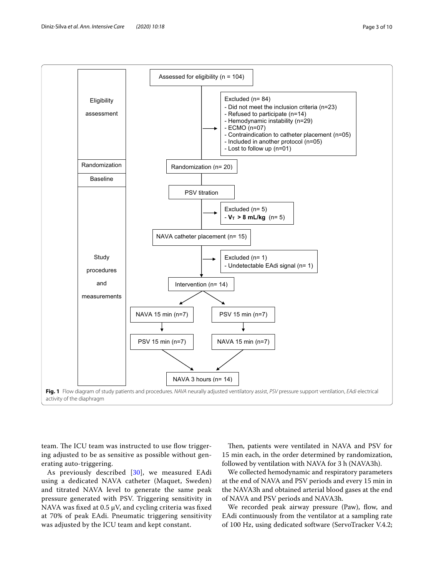



Assessed for eligibility (n = 104)

<span id="page-2-0"></span>team. The ICU team was instructed to use flow triggering adjusted to be as sensitive as possible without generating auto-triggering.

As previously described [\[30](#page-9-11)], we measured EAdi using a dedicated NAVA catheter (Maquet, Sweden) and titrated NAVA level to generate the same peak pressure generated with PSV. Triggering sensitivity in NAVA was fixed at 0.5  $\mu$ V, and cycling criteria was fixed at 70% of peak EAdi. Pneumatic triggering sensitivity was adjusted by the ICU team and kept constant.

Then, patients were ventilated in NAVA and PSV for 15 min each, in the order determined by randomization, followed by ventilation with NAVA for 3 h (NAVA3h).

We collected hemodynamic and respiratory parameters at the end of NAVA and PSV periods and every 15 min in the NAVA3h and obtained arterial blood gases at the end of NAVA and PSV periods and NAVA3h.

We recorded peak airway pressure (Paw), flow, and EAdi continuously from the ventilator at a sampling rate of 100 Hz, using dedicated software (ServoTracker V.4.2;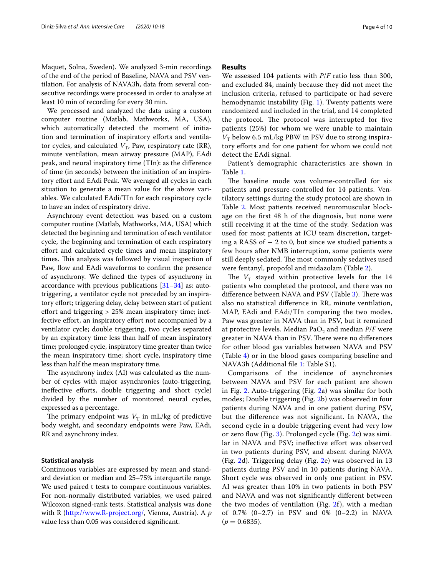Maquet, Solna, Sweden). We analyzed 3-min recordings of the end of the period of Baseline, NAVA and PSV ventilation. For analysis of NAVA3h, data from several consecutive recordings were processed in order to analyze at least 10 min of recording for every 30 min.

We processed and analyzed the data using a custom computer routine (Matlab, Mathworks, MA, USA), which automatically detected the moment of initiation and termination of inspiratory efforts and ventilator cycles, and calculated  $V_T$ , Paw, respiratory rate (RR), minute ventilation, mean airway pressure (MAP), EAdi peak, and neural inspiratory time (TIn): as the diference of time (in seconds) between the initiation of an inspiratory effort and EAdi Peak. We averaged all cycles in each situation to generate a mean value for the above variables. We calculated EAdi/TIn for each respiratory cycle to have an index of respiratory drive.

Asynchrony event detection was based on a custom computer routine (Matlab, Mathworks, MA, USA) which detected the beginning and termination of each ventilator cycle, the beginning and termination of each respiratory efort and calculated cycle times and mean inspiratory times. This analysis was followed by visual inspection of Paw, flow and EAdi waveforms to confirm the presence of asynchrony. We defned the types of asynchrony in accordance with previous publications  $[31-34]$  $[31-34]$  $[31-34]$  as: autotriggering, a ventilator cycle not preceded by an inspiratory effort; triggering delay, delay between start of patient effort and triggering  $> 25\%$  mean inspiratory time; ineffective effort, an inspiratory effort not accompanied by a ventilator cycle; double triggering, two cycles separated by an expiratory time less than half of mean inspiratory time; prolonged cycle, inspiratory time greater than twice the mean inspiratory time; short cycle, inspiratory time less than half the mean inspiratory time.

The asynchrony index (AI) was calculated as the number of cycles with major asynchronies (auto-triggering, ineffective efforts, double triggering and short cycle) divided by the number of monitored neural cycles, expressed as a percentage.

The primary endpoint was  $V<sub>T</sub>$  in mL/kg of predictive body weight, and secondary endpoints were Paw, EAdi, RR and asynchrony index.

#### **Statistical analysis**

Continuous variables are expressed by mean and standard deviation or median and 25–75% interquartile range. We used paired t tests to compare continuous variables. For non-normally distributed variables, we used paired Wilcoxon signed-rank tests. Statistical analysis was done with R [\(http://www.R-project.org/,](http://www.R-project.org/) Vienna, Austria). A *p* value less than 0.05 was considered signifcant.

## **Results**

We assessed 104 patients with *P*/*F* ratio less than 300, and excluded 84, mainly because they did not meet the inclusion criteria, refused to participate or had severe hemodynamic instability (Fig. [1](#page-2-0)). Twenty patients were randomized and included in the trial, and 14 completed the protocol. The protocol was interrupted for five patients (25%) for whom we were unable to maintain  $V<sub>T</sub>$  below 6.5 mL/kg PBW in PSV due to strong inspiratory efforts and for one patient for whom we could not detect the EAdi signal.

Patient's demographic characteristics are shown in Table [1](#page-4-0).

The baseline mode was volume-controlled for six patients and pressure-controlled for 14 patients. Ventilatory settings during the study protocol are shown in Table [2](#page-4-1). Most patients received neuromuscular blockage on the frst 48 h of the diagnosis, but none were still receiving it at the time of the study. Sedation was used for most patients at ICU team discretion, targeting a RASS of − 2 to 0, but since we studied patients a few hours after NMB interruption, some patients were still deeply sedated. The most commonly sedatives used were fentanyl, propofol and midazolam (Table [2\)](#page-4-1).

The  $V_T$  stayed within protective levels for the 14 patients who completed the protocol, and there was no difference between NAVA and PSV (Table [3](#page-5-0)). There was also no statistical diference in RR, minute ventilation, MAP, EAdi and EAdi/TIn comparing the two modes. Paw was greater in NAVA than in PSV, but it remained at protective levels. Median  $PaO<sub>2</sub>$  and median  $P/F$  were greater in NAVA than in PSV. There were no differences for other blood gas variables between NAVA and PSV (Table [4](#page-5-1)) or in the blood gases comparing baseline and NAVA3h (Additional fle [1](#page-8-8): Table S1).

Comparisons of the incidence of asynchronies between NAVA and PSV for each patient are shown in Fig. [2.](#page-6-0) Auto-triggering (Fig. [2a](#page-6-0)) was similar for both modes; Double triggering (Fig. [2b](#page-6-0)) was observed in four patients during NAVA and in one patient during PSV, but the diference was not signifcant. In NAVA, the second cycle in a double triggering event had very low or zero flow (Fig. [3](#page-7-0)). Prolonged cycle (Fig.  $2c$ ) was similar in NAVA and PSV; inefective efort was observed in two patients during PSV, and absent during NAVA (Fig. [2d](#page-6-0)). Triggering delay (Fig. [2](#page-6-0)e) was observed in 13 patients during PSV and in 10 patients during NAVA. Short cycle was observed in only one patient in PSV. AI was greater than 10% in two patients in both PSV and NAVA and was not signifcantly diferent between the two modes of ventilation (Fig.  $2f$  $2f$ ), with a median of 0.7% (0–2.7) in PSV and 0% (0–2.2) in NAVA  $(p = 0.6835)$ .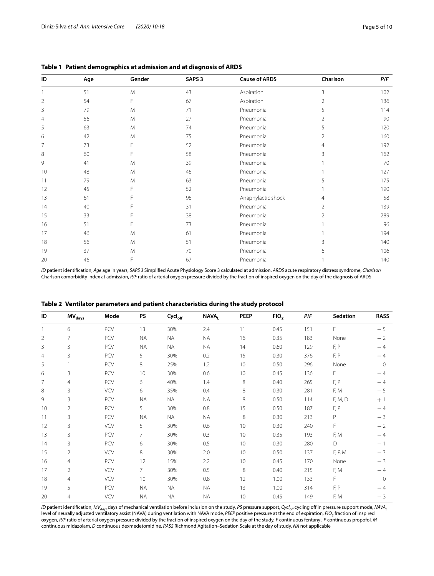| ID | Age | Gender | SAPS <sub>3</sub> | <b>Cause of ARDS</b> | Charlson       | P/F |
|----|-----|--------|-------------------|----------------------|----------------|-----|
|    | 51  | M      | 43                | Aspiration           | 3              | 102 |
| 2  | 54  | F      | 67                | Aspiration           | $\overline{2}$ | 136 |
| 3  | 79  | M      | 71                | Pneumonia            | 5              | 114 |
| 4  | 56  | M      | 27                | Pneumonia            |                | 90  |
| 5  | 63  | M      | 74                | Pneumonia            | 5              | 120 |
| 6  | 42  | M      | 75                | Pneumonia            | $\mathfrak{D}$ | 160 |
| 7  | 73  |        | 52                | Pneumonia            | 4              | 192 |
| 8  | 60  |        | 58                | Pneumonia            |                | 162 |
| 9  | 41  | M      | 39                | Pneumonia            |                | 70  |
| 10 | 48  | M      | 46                | Pneumonia            |                | 127 |
| 11 | 79  | M      | 63                | Pneumonia            |                | 175 |
| 12 | 45  |        | 52                | Pneumonia            |                | 190 |
| 13 | 61  |        | 96                | Anaphylactic shock   | 4              | 58  |
| 14 | 40  |        | 31                | Pneumonia            | 2              | 139 |
| 15 | 33  |        | 38                | Pneumonia            |                | 289 |
| 16 | 51  |        | 73                | Pneumonia            |                | 96  |
| 17 | 46  | M      | 61                | Pneumonia            |                | 194 |
| 18 | 56  | M      | 51                | Pneumonia            | ζ              | 140 |
| 19 | 37  | M      | 70                | Pneumonia            | h              | 106 |
| 20 | 46  | E      | 67                | Pneumonia            |                | 140 |

<span id="page-4-0"></span>**Table 1 Patient demographics at admission and at diagnosis of ARDS**

*ID* patient identifcation, *Age* age in years, *SAPS 3* Simplifed Acute Physiology Score 3 calculated at admission, *ARDS* acute respiratory distress syndrome, *Charlson* Charlson comorbidity index at admission, *P/F* ratio of arterial oxygen pressure divided by the fraction of inspired oxygen on the day of the diagnosis of ARDS

| ID             | $MV_{days}$    | Mode       | <b>PS</b>      | Cycl <sub>off</sub> | <b>NAVAL</b> | PEEP            | FIO <sub>2</sub> | P/F | Sedation | <b>RASS</b> |
|----------------|----------------|------------|----------------|---------------------|--------------|-----------------|------------------|-----|----------|-------------|
|                | 6              | PCV        | 13             | 30%                 | 2.4          | 11              | 0.45             | 151 | F        | $-5$        |
| $\overline{2}$ | 7              | PCV        | <b>NA</b>      | <b>NA</b>           | <b>NA</b>    | 16              | 0.35             | 183 | None     | $-2$        |
| 3              | 3              | PCV        | <b>NA</b>      | <b>NA</b>           | <b>NA</b>    | 14              | 0.60             | 129 | F, P     | $-4$        |
| $\overline{4}$ | 3              | PCV        | 5              | 30%                 | 0.2          | 15              | 0.30             | 376 | F, P     | $-4$        |
| 5              |                | PCV        | 8              | 25%                 | 1.2          | 10              | 0.50             | 296 | None     | $\Omega$    |
| 6              | 3              | PCV        | 10             | 30%                 | 0.6          | 10              | 0.45             | 136 | F        | $-4$        |
| 7              | 4              | PCV        | 6              | 40%                 | 1.4          | 8               | 0.40             | 265 | F, P     | $-4$        |
| 8              | 3              | VCV        | 6              | 35%                 | 0.4          | 8               | 0.30             | 281 | F, M     | $-5$        |
| 9              | 3              | PCV        | <b>NA</b>      | <b>NA</b>           | <b>NA</b>    | 8               | 0.50             | 114 | F, M, D  | $+1$        |
| 10             | 2              | PCV        | 5              | 30%                 | 0.8          | 15              | 0.50             | 187 | F, P     | $-4$        |
| 11             | 3              | PCV        | <b>NA</b>      | <b>NA</b>           | <b>NA</b>    | 8               | 0.30             | 213 | P        | $-3$        |
| 12             | 3              | <b>VCV</b> | 5              | 30%                 | 0.6          | 10              | 0.30             | 240 | F        | $-2$        |
| 13             | 3              | PCV        | $\overline{7}$ | 30%                 | 0.3          | 10 <sup>°</sup> | 0.35             | 193 | F, M     | $-4$        |
| 14             | 3              | PCV        | 6              | 30%                 | 0.5          | 10 <sup>°</sup> | 0.30             | 280 | D        | $-1$        |
| 15             | 2              | VCV        | 8              | 30%                 | 2.0          | 10 <sup>°</sup> | 0.50             | 137 | F, P, M  | $-3$        |
| 16             | $\overline{4}$ | <b>PCV</b> | 12             | 15%                 | 2.2          | 10              | 0.45             | 170 | None     | $-3$        |
| 17             | 2              | VCV        | 7              | 30%                 | 0.5          | 8               | 0.40             | 215 | F, M     | $-4$        |
| 18             | $\overline{4}$ | VCV        | 10             | 30%                 | 0.8          | 12              | 1.00             | 133 | F        | $\Omega$    |
| 19             | 5              | PCV        | <b>NA</b>      | <b>NA</b>           | ΝA           | 13              | 1.00             | 314 | F, P     | $-4$        |
| 20             | 4              | VCV        | <b>NA</b>      | <b>NA</b>           | <b>NA</b>    | 10              | 0.45             | 149 | F, M     | $-3$        |

<span id="page-4-1"></span>**Table 2 Ventilator parameters and patient characteristics during the study protocol**

*ID* patient identification, *MV<sub>days</sub>* days of mechanical ventilation before inclusion on the study, *PS* pressure support, *Cycl<sub>off</sub>* cycling off in pressure support mode, *NAVA*<sub>L</sub> level of neurally adjusted ventilatory assist (NAVA) during ventilation with NAVA mode, *PEEP* positive pressure at the end of expiration, *FIO2* fraction of inspired oxygen, *P/F* ratio of arterial oxygen pressure divided by the fraction of inspired oxygen on the day of the study, *F* continuous fentanyl, *P* continuous propofol, *M* continuous midazolam, *D* continuous dexmedetomidine, *RASS* Richmond Agitation–Sedation Scale at the day of study, *NA* not applicable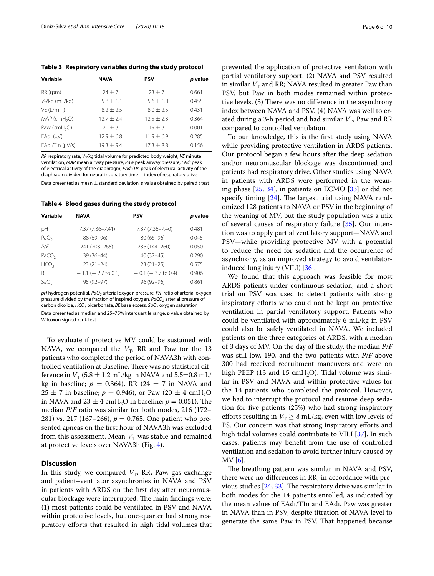<span id="page-5-0"></span>**Table 3 Respiratory variables during the study protocol**

| Variable                   | <b>NAVA</b>  | <b>PSV</b>    | p value |
|----------------------------|--------------|---------------|---------|
| RR (rpm)                   | $74 + 7$     | $23 + 7$      | 0.661   |
| $V_T/kg$ (mL/kg)           | $5.8 + 1.1$  | $5.6 \pm 1.0$ | 0.455   |
| VE (L/min)                 | $8.2 + 2.5$  | $8.0 + 2.5$   | 0.431   |
| $MAP$ (cmH <sub>2</sub> O) | $12.7 + 2.4$ | $12.5 + 2.3$  | 0.364   |
| Paw ( $cmH2O$ )            | $21 + 3$     | $19 + 3$      | 0.001   |
| $EAdi$ ( $\mu$ V)          | $12.9 + 6.8$ | $11.9 + 6.9$  | 0.285   |
| EAdi/TIn (µV/s)            | $19.3 + 9.4$ | $17.3 + 8.8$  | 0.156   |

*RR* respiratory rate,  $V_\tau$ /*kg* tidal volume for predicted body weight, *VE* minute ventilation, *MAP* mean airway pressure, *Paw* peak airway pressure, *EAdi* peak of electrical activity of the diaphragm, *EAdi/TIn* peak of electrical activity of the diaphragm divided for neural inspiratory time − index of respiratory drive

Data presented as mean ± standard deviation, *p* value obtained by paired *t* test

<span id="page-5-1"></span>**Table 4 Blood gases during the study protocol**

| Variable          | <b>NAVA</b>             | <b>PSV</b>              | p value |
|-------------------|-------------------------|-------------------------|---------|
| рH                | 7.37 (7.36-7.41)        | 7.37 (7.36-7.40)        | 0.481   |
| PaO <sub>2</sub>  | 88 (69-96)              | $80(66 - 96)$           | 0.045   |
| P/F               | 241 (203-265)           | 236 (144-260)           | 0.050   |
| PaCO <sub>2</sub> | 39 (36-44)              | $40(37-45)$             | 0.290   |
| HCO <sub>3</sub>  | $23(21-24)$             | $23(21-25)$             | 0.575   |
| <b>BF</b>         | $-1.1$ ( $-2.7$ to 0.1) | $-0.1$ ( $-3.7$ to 0.4) | 0.906   |
| SaO <sub>2</sub>  | 95 (92-97)              | $96(92 - 96)$           | 0.861   |

pH hydrogen potential, PaO<sub>2</sub> arterial oxygen pressure, P/F ratio of arterial oxygen pressure divided by the fraction of inspired oxygen, PaCO<sub>2</sub> arterial pressure of carbon dioxide, *HCO<sub>3</sub>* bicarbonate, *BE* base excess, *SaO<sub>2</sub>* oxygen saturation Data presented as median and 25–75% interquartile range. *p* value obtained by Wilcoxon signed-rank test

To evaluate if protective MV could be sustained with NAVA, we compared the  $V_T$ , RR and Paw for the 13 patients who completed the period of NAVA3h with controlled ventilation at Baseline. There was no statistical difference in  $V_T$  (5.8  $\pm$  1.2 mL/kg in NAVA and 5.5 $\pm$ 0.8 mL/ kg in baseline;  $p = 0.364$ ), RR (24  $\pm$  7 in NAVA and  $25 \pm 7$  in baseline;  $p = 0.946$ ), or Paw (20  $\pm$  4 cmH<sub>2</sub>O) in NAVA and  $23 \pm 4$  cmH<sub>2</sub>O in baseline;  $p = 0.051$ ). The median *P*/*F* ratio was similar for both modes, 216 (172– 281) vs. 217 (167–266),  $p = 0.765$ . One patient who presented apneas on the frst hour of NAVA3h was excluded from this assessment. Mean  $V_T$  was stable and remained at protective levels over NAVA3h (Fig. [4\)](#page-7-1).

#### **Discussion**

In this study, we compared  $V_T$ , RR, Paw, gas exchange and patient–ventilator asynchronies in NAVA and PSV in patients with ARDS on the frst day after neuromuscular blockage were interrupted. The main findings were: (1) most patients could be ventilated in PSV and NAVA within protective levels, but one-quarter had strong respiratory eforts that resulted in high tidal volumes that prevented the application of protective ventilation with partial ventilatory support. (2) NAVA and PSV resulted in similar  $V_T$  and RR; NAVA resulted in greater Paw than PSV, but Paw in both modes remained within protective levels. (3) There was no difference in the asynchrony index between NAVA and PSV. (4) NAVA was well tolerated during a 3-h period and had similar  $V<sub>T</sub>$ , Paw and RR compared to controlled ventilation.

To our knowledge, this is the frst study using NAVA while providing protective ventilation in ARDS patients. Our protocol began a few hours after the deep sedation and/or neuromuscular blockage was discontinued and patients had respiratory drive. Other studies using NAVA in patients with ARDS were performed in the weaning phase [[25](#page-9-14), [34\]](#page-9-13), in patients on ECMO [\[33](#page-9-15)] or did not specify timing  $[24]$  $[24]$ . The largest trial using NAVA randomized 128 patients to NAVA or PSV in the beginning of the weaning of MV, but the study population was a mix of several causes of respiratory failure [[35\]](#page-9-17). Our intention was to apply partial ventilatory support—NAVA and PSV—while providing protective MV with a potential to reduce the need for sedation and the occurrence of asynchrony, as an improved strategy to avoid ventilatorinduced lung injury (VILI) [\[36](#page-9-18)].

We found that this approach was feasible for most ARDS patients under continuous sedation, and a short trial on PSV was used to detect patients with strong inspiratory eforts who could not be kept on protective ventilation in partial ventilatory support. Patients who could be ventilated with approximately 6 mL/kg in PSV could also be safely ventilated in NAVA. We included patients on the three categories of ARDS, with a median of 3 days of MV. On the day of the study, the median *P*/*F* was still low, 190, and the two patients with *P*/*F* above 300 had received recruitment maneuvers and were on high PEEP (13 and 15  $cmH<sub>2</sub>O$ ). Tidal volume was similar in PSV and NAVA and within protective values for the 14 patients who completed the protocol. However, we had to interrupt the protocol and resume deep sedation for fve patients (25%) who had strong inspiratory efforts resulting in  $V_T \geq 8$  mL/kg, even with low levels of PS. Our concern was that strong inspiratory efforts and high tidal volumes could contribute to VILI [\[37](#page-9-19)]. In such cases, patients may beneft from the use of controlled ventilation and sedation to avoid further injury caused by MV [\[6](#page-8-5)].

The breathing pattern was similar in NAVA and PSV, there were no diferences in RR, in accordance with previous studies  $[24, 33]$  $[24, 33]$  $[24, 33]$  $[24, 33]$ . The respiratory drive was similar in both modes for the 14 patients enrolled, as indicated by the mean values of EAdi/TIn and EAdi. Paw was greater in NAVA than in PSV, despite titration of NAVA level to generate the same Paw in PSV. That happened because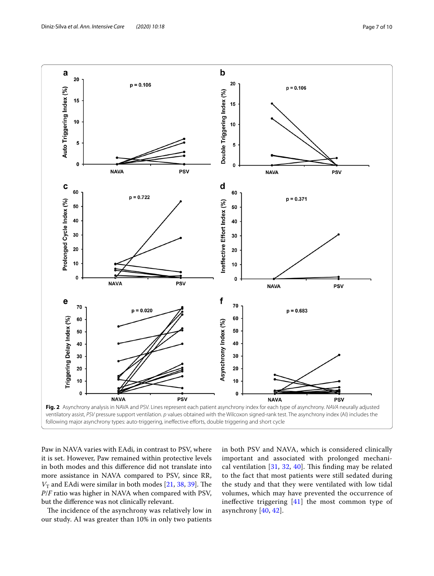

<span id="page-6-0"></span>Paw in NAVA varies with EAdi, in contrast to PSV, where it is set. However, Paw remained within protective levels in both modes and this diference did not translate into more assistance in NAVA compared to PSV, since RR,  $V<sub>T</sub>$  and EAdi were similar in both modes [\[21](#page-9-7), [38,](#page-9-20) [39](#page-9-21)]. The *P*/*F* ratio was higher in NAVA when compared with PSV, but the diference was not clinically relevant.

The incidence of the asynchrony was relatively low in our study. AI was greater than 10% in only two patients

in both PSV and NAVA, which is considered clinically important and associated with prolonged mechanical ventilation  $[31, 32, 40]$  $[31, 32, 40]$  $[31, 32, 40]$  $[31, 32, 40]$  $[31, 32, 40]$  $[31, 32, 40]$  $[31, 32, 40]$ . This finding may be related to the fact that most patients were still sedated during the study and that they were ventilated with low tidal volumes, which may have prevented the occurrence of inefective triggering [[41\]](#page-9-24) the most common type of asynchrony [[40,](#page-9-23) [42\]](#page-9-25).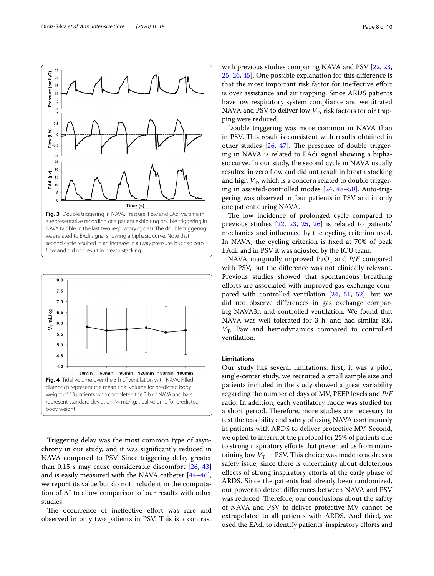

<span id="page-7-0"></span>second cycle resulted in an increase in airway pressure, but had zero fow and did not result in breath stacking



<span id="page-7-1"></span>Triggering delay was the most common type of asynchrony in our study, and it was signifcantly reduced in NAVA compared to PSV. Since triggering delay greater than 0.15 s may cause considerable discomfort  $[26, 43]$  $[26, 43]$  $[26, 43]$  $[26, 43]$  $[26, 43]$ and is easily measured with the NAVA catheter [[44](#page-9-28)[–46](#page-9-29)], we report its value but do not include it in the computation of AI to allow comparison of our results with other studies.

The occurrence of ineffective effort was rare and observed in only two patients in PSV. This is a contrast with previous studies comparing NAVA and PSV [[22,](#page-9-8) [23](#page-9-30), [25,](#page-9-14) [26](#page-9-26), [45\]](#page-9-31). One possible explanation for this diference is that the most important risk factor for inefective efort is over assistance and air trapping. Since ARDS patients have low respiratory system compliance and we titrated NAVA and PSV to deliver low  $V_T$ , risk factors for air trapping were reduced.

Double triggering was more common in NAVA than in PSV. This result is consistent with results obtained in other studies  $[26, 47]$  $[26, 47]$  $[26, 47]$  $[26, 47]$ . The presence of double triggering in NAVA is related to EAdi signal showing a biphasic curve. In our study, the second cycle in NAVA usually resulted in zero flow and did not result in breath stacking and high  $V_T$ , which is a concern related to double triggering in assisted-controlled modes [[24](#page-9-16), [48–](#page-9-33)[50\]](#page-9-34). Auto-triggering was observed in four patients in PSV and in only one patient during NAVA.

The low incidence of prolonged cycle compared to previous studies [[22](#page-9-8), [23,](#page-9-30) [25](#page-9-14), [26](#page-9-26)] is related to patients' mechanics and infuenced by the cycling criterion used. In NAVA, the cycling criterion is fxed at 70% of peak EAdi, and in PSV it was adjusted by the ICU team.

NAVA marginally improved PaO<sub>2</sub> and *P*/*F* compared with PSV, but the diference was not clinically relevant. Previous studies showed that spontaneous breathing eforts are associated with improved gas exchange compared with controlled ventilation [[24](#page-9-16), [51](#page-9-35), [52](#page-9-36)], but we did not observe diferences in gas exchange comparing NAVA3h and controlled ventilation. We found that NAVA was well tolerated for 3 h, and had similar RR,  $V_T$ , Paw and hemodynamics compared to controlled ventilation.

#### **Limitations**

Our study has several limitations: frst, it was a pilot, single-center study, we recruited a small sample size and patients included in the study showed a great variability regarding the number of days of MV, PEEP levels and *P*/*F* ratio. In addition, each ventilatory mode was studied for a short period. Therefore, more studies are necessary to test the feasibility and safety of using NAVA continuously in patients with ARDS to deliver protective MV. Second, we opted to interrupt the protocol for 25% of patients due to strong inspiratory efforts that prevented us from maintaining low  $V<sub>T</sub>$  in PSV. This choice was made to address a safety issue, since there is uncertainty about deleterious efects of strong inspiratory eforts at the early phase of ARDS. Since the patients had already been randomized, our power to detect diferences between NAVA and PSV was reduced. Therefore, our conclusions about the safety of NAVA and PSV to deliver protective MV cannot be extrapolated to all patients with ARDS. And third, we used the EAdi to identify patients' inspiratory eforts and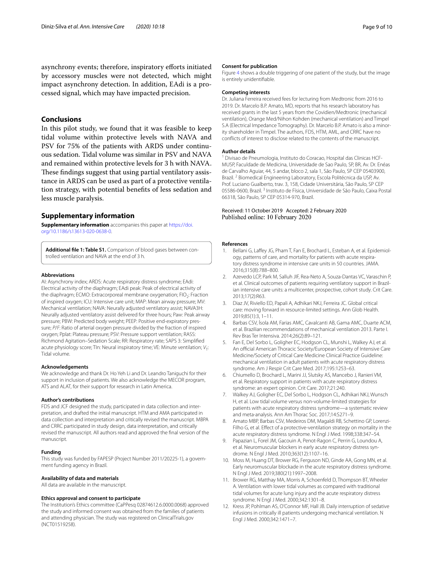asynchrony events; therefore, inspiratory eforts initiated by accessory muscles were not detected, which might impact asynchrony detection. In addition, EAdi is a processed signal, which may have impacted precision.

## **Conclusions**

In this pilot study, we found that it was feasible to keep tidal volume within protective levels with NAVA and PSV for 75% of the patients with ARDS under continuous sedation. Tidal volume was similar in PSV and NAVA and remained within protective levels for 3 h with NAVA. These findings suggest that using partial ventilatory assistance in ARDS can be used as part of a protective ventilation strategy, with potential benefts of less sedation and less muscle paralysis.

#### **Supplementary information**

**Supplementary information** accompanies this paper at [https://doi.](https://doi.org/10.1186/s13613-020-0638-0) [org/10.1186/s13613-020-0638-0.](https://doi.org/10.1186/s13613-020-0638-0)

<span id="page-8-8"></span>Additional file 1: Table S1. Comparison of blood gases between controlled ventilation and NAVA at the end of 3 h.

#### **Abbreviations**

AI: Asynchrony index; ARDS: Acute respiratory distress syndrome; EAdi: Electrical activity of the diaphragm; EAdi peak: Peak of electrical activity of the diaphragm; ECMO: Extracorporeal membrane oxygenation; FIO<sub>2</sub>: Fraction of inspired oxygen; ICU: Intensive care unit; MAP: Mean airway pressure; MV: Mechanical ventilation; NAVA: Neurally adjusted ventilatory assist; NAVA3H: Neurally adjusted ventilatory assist delivered for three hours; Paw: Peak airway pressure; PBW: Predicted body weight; PEEP: Positive end-expiratory pressure; *P*/*F*: Ratio of arterial oxygen pressure divided by the fraction of inspired oxygen; Pplat: Plateau pressure; PSV: Pressure support ventilation; RASS: Richmond Agitation–Sedation Scale; RR: Respiratory rate; SAPS 3: Simplifed acute physiology score; Tln: Neural inspiratory time; VE: Minute ventilation; V<sub>T</sub>: Tidal volume.

#### **Acknowledgements**

We acknowledge and thank Dr. Ho Yeh Li and Dr. Leandro Taniguchi for their support in inclusion of patients. We also acknowledge the MECOR program, ATS and ALAT, for their support for research in Latin America.

#### **Author's contributions**

FDS and JCF designed the study, participated in data collection and interpretation, and drafted the initial manuscript. HTM and AMA participated in data collection and interpretation and critically revised the manuscript. MBPA and CRRC participated in study design, data interpretation, and critically revised the manuscript. All authors read and approved the fnal version of the manuscript.

#### **Funding**

This study was funded by FAPESP (Project Number 2011/20225-1), a government funding agency in Brazil.

#### **Availability of data and materials**

All data are available in the manuscript.

#### **Ethics approval and consent to participate**

The Institution's Ethics committee (CaPPesq 02874612.6.0000.0068) approved the study and informed consent was obtained from the families of patients and attending physician. The study was registered on ClinicalTrials.gov (NCT01519258).

#### **Consent for publication**

Figure [4](#page-7-1) shows a double triggering of one patient of the study, but the image is entirely unidentifable.

#### **Competing interests**

Dr. Juliana Ferreira received fees for lecturing from Medtronic from 2016 to 2019. Dr. Marcelo B.P. Amato, MD, reports that his research laboratory has received grants in the last 5 years from the Covidien/Medtronic (mechanical ventilation), Orange Med/Nihon Kohden (mechanical ventilation) and Timpel S.A (Electrical Impedance Tomography). Dr. Marcelo B.P. Amato is also a minority shareholder in Timpel. The authors, FDS, HTM, AML, and CRRC have no conficts of interest to disclose related to the contents of the manuscript.

#### **Author details**

<sup>1</sup> Divisao de Pneumologia, Instituto do Coracao, Hospital das Clinicas HCF-MUSP, Faculdade de Medicina, Universidade de Sao Paulo, SP, BR, Av. Dr. Enéas de Carvalho Aguiar, 44, 5 andar, bloco 2, sala 1, São Paulo, SP CEP 05403900, Brazil.<sup>2</sup> Biomedical Engineering Laboratory, Escola Politécnica da USP, Av. Prof. Luciano Gualberto, trav. 3, 158, Cidade Universitária, São Paulo, SP CEP 05586-0600, Brazil. <sup>3</sup> Instituto de Física, Universidade de São Paulo, Caixa Postal 66318, São Paulo, SP CEP 05314‑970, Brazil.

# Received: 11 October 2019 Accepted: 2 February 2020

#### **References**

- <span id="page-8-0"></span>1. Bellani G, Laffey JG, Pham T, Fan E, Brochard L, Esteban A, et al. Epidemiology, patterns of care, and mortality for patients with acute respiratory distress syndrome in intensive care units in 50 countries. JAMA. 2016;315(8):788–800.
- <span id="page-8-1"></span>2. Azevedo LCP, Park M, Salluh JIF, Rea-Neto A, Souza-Dantas VC, Varaschin P, et al. Clinical outcomes of patients requiring ventilatory support in Brazilian intensive care units: a multicenter, prospective, cohort study. Crit Care. 2013;17(2):R63.
- <span id="page-8-2"></span>3. Diaz JV, Riviello ED, Papali A, Adhikari NKJ, Ferreira JC. Global critical care: moving forward in resource-limited settings. Ann Glob Health. 2019;85(1):3, 1–11.
- <span id="page-8-3"></span>4. Barbas CSV, Ísola AM, Farias AMC, Cavalcanti AB, Gama AMC, Duarte ACM, et al. Brazilian recommendations of mechanical ventilation 2013. Parte I. Rev Bras Ter Intensiva. 2014;26(2):89–121.
- 5. Fan E, Del Sorbo L, Goligher EC, Hodgson CL, Munshi L, Walkey AJ, et al. An official American Thoracic Society/European Society of Intensive Care Medicine/Society of Critical Care Medicine Clinical Practice Guideline: mechanical ventilation in adult patients with acute respiratory distress syndrome. Am J Respir Crit Care Med. 2017;195:1253–63.
- <span id="page-8-5"></span>6. Chiumello D, Brochard L, Marini JJ, Slutsky AS, Mancebo J, Ranieri VM, et al. Respiratory support in patients with acute respiratory distress syndrome: an expert opinion. Crit Care. 2017;21:240.
- 7. Walkey AJ, Goligher EC, Del Sorbo L, Hodgson CL, Adhikari NKJ, Wunsch H, et al. Low tidal volume versus non-volume-limited strategies for patients with acute respiratory distress syndrome—a systematic review and meta-analysis. Ann Am Thorac Soc. 2017;14:S271–9.
- <span id="page-8-4"></span>8. Amato MBP, Barbas CSV, Medeiros DM, Magaldi RB, Schettino GP, Lorenzi-Filho G, et al. Efect of a protective-ventilation strategy on mortality in the acute respiratory distress syndrome. N Engl J Med. 1998;338:347–54.
- <span id="page-8-6"></span>9. Papazian L, Forel JM, Gacouin A, Penot-Ragon C, Perrin G, Loundou A, et al. Neuromuscular blockers in early acute respiratory distress syndrome. N Engl J Med. 2010;363(12):1107–16.
- 10. Moss M, Huang DT, Brower RG, Ferguson ND, Ginde AA, Gong MN, et al. Early neuromuscular blockade in the acute respiratory distress syndrome. N Engl J Med. 2019;380(21):1997–2008.
- 11. Brower RG, Matthay MA, Morris A, Schoenfeld D, Thompson BT, Wheeler A. Ventilation with lower tidal volumes as compared with traditional tidal volumes for acute lung injury and the acute respiratory distress syndrome. N Engl J Med. 2000;342:1301–8.
- <span id="page-8-7"></span>12. Kress JP, Pohlman AS, O'Connor MF, Hall JB. Daily interruption of sedative infusions in critically ill patients undergoing mechanical ventilation. N Engl J Med. 2000;342:1471–7.